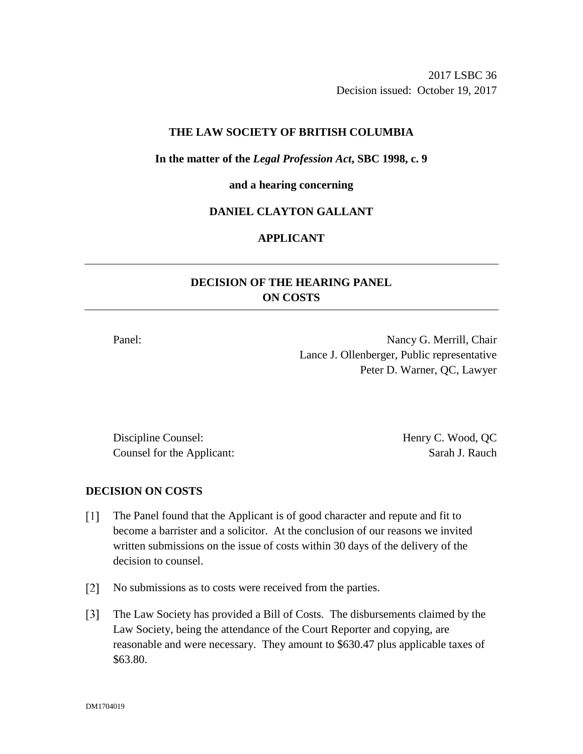2017 LSBC 36 Decision issued: October 19, 2017

## **THE LAW SOCIETY OF BRITISH COLUMBIA**

### **In the matter of the** *Legal Profession Act***, SBC 1998, c. 9**

#### **and a hearing concerning**

# **DANIEL CLAYTON GALLANT**

## **APPLICANT**

# **DECISION OF THE HEARING PANEL ON COSTS**

Panel: Nancy G. Merrill, Chair Lance J. Ollenberger, Public representative Peter D. Warner, QC, Lawyer

Discipline Counsel: Henry C. Wood, QC Counsel for the Applicant: Sarah J. Rauch

## **DECISION ON COSTS**

- $\lceil 1 \rceil$ The Panel found that the Applicant is of good character and repute and fit to become a barrister and a solicitor. At the conclusion of our reasons we invited written submissions on the issue of costs within 30 days of the delivery of the decision to counsel.
- [2] No submissions as to costs were received from the parties.
- $\lceil 3 \rceil$ The Law Society has provided a Bill of Costs. The disbursements claimed by the Law Society, being the attendance of the Court Reporter and copying, are reasonable and were necessary. They amount to \$630.47 plus applicable taxes of \$63.80.